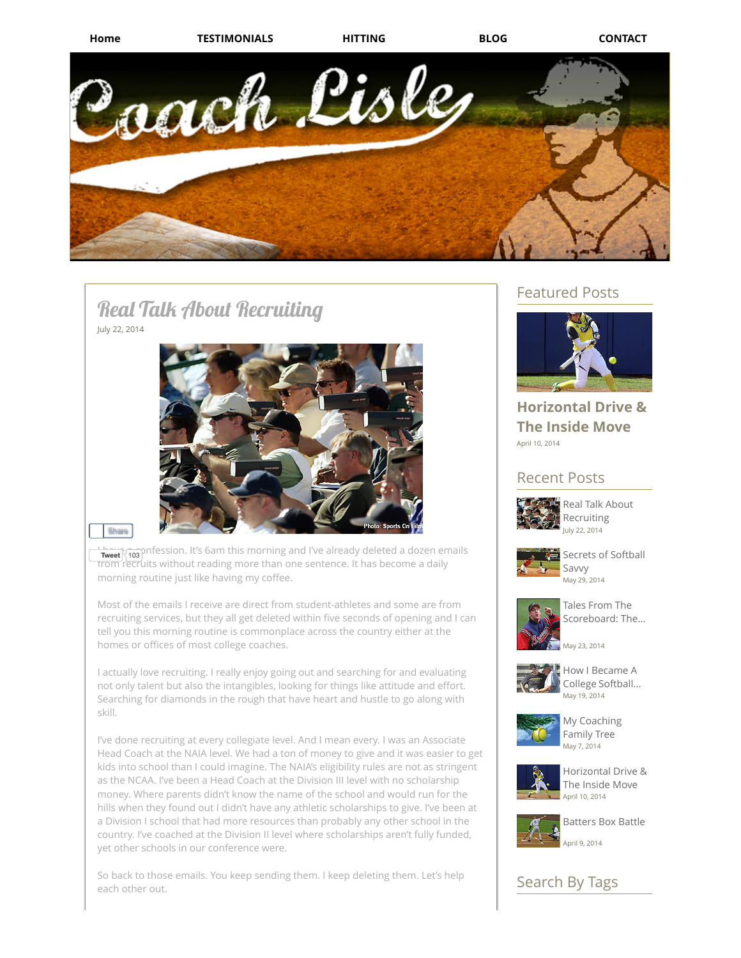

# Real Talk About Recruiting July 22, 2014



#### **Share**

**Tweet** 103 pnfession. It's 6am this morning and I've already deleted a dozen emails from recruits without reading more than one sentence. It has become a daily morning routine just like having my coffee.

Most of the emails I receive are direct from student-athletes and some are from recruiting services, but they all get deleted within five seconds of opening and I can tell you this morning routine is commonplace across the country either at the homes or offices of most college coaches.

I actually love recruiting. I really enjoy going out and searching for and evaluating not only talent but also the intangibles, looking for things like attitude and effort. Searching for diamonds in the rough that have heart and hustle to go along with skill.

I've done recruiting at every collegiate level. And I mean every. I was an Associate Head Coach at the NAIA level. We had a ton of money to give and it was easier to get kids into school than I could imagine. The NAIA's eligibility rules are not as stringent as the NCAA. I've been a Head Coach at the Division III level with no scholarship money. Where parents didn't know the name of the school and would run for the hills when they found out I didn't have any athletic scholarships to give. I've been at a Division I school that had more resources than probably any other school in the country. I've coached at the Division II level where scholarships aren't fully funded, yet other schools in our conference were.

So back to those emails. You keep sending them. I keep deleting them. Let's help each other out.

# Featured Posts



# April 10, 2014 **[Horizontal](http://www.coachlisle.com/#!Horizontal-Drive-The-Inside-Move-/cyky/7B5AF4FF-5BEF-4EA5-A544-A82A3D3DE969) Drive & The Inside Move**

# Recent Posts



July 22, 2014 Real Talk About [Recruiting](http://www.coachlisle.com/#!Real-Talk-About-Recruiting/cyky/69430598-E4FF-415A-A478-C9D97E02DA71)



May 29, 2014 Secrets of [Softball](http://www.coachlisle.com/#!Secrets-of-Softball-Savvy/cyky/5FEBB3F6-3AD0-41B8-969B-E9FD6FA31617) Savvy



Tales From The [Scoreboard:](http://www.coachlisle.com/#!Tales-From-The-Scoreboard-The-Day-I-Met-John-Rocker/cyky/F4838775-B7BA-43E2-8F5A-78BA40EADC22) The...

May 23, 2014



May 19, 2014 How I Became A College [Softball...](http://www.coachlisle.com/#!How-I-Became-A-College-Softball-Coach/cyky/8A9DFA5C-F855-403C-97C2-D53AF7DCB69C)



May 7, 2014 My [Coaching](http://www.coachlisle.com/#!My-Coaching-Family-Tree/cyky/6087A43C-7598-45C3-BFC1-DC81A470EE45) Family Tree



April 10, 2014 [Horizontal](http://www.coachlisle.com/#!Horizontal-Drive-The-Inside-Move-/cyky/7B5AF4FF-5BEF-4EA5-A544-A82A3D3DE969) Drive & The Inside Move



April 9, 2014 [Batters](http://www.coachlisle.com/#!Batters-Box-Battle/cyky/62A8A7CB-D32B-40BE-8AF7-A8F7ED35C7CA) Box Battle

# Search By Tags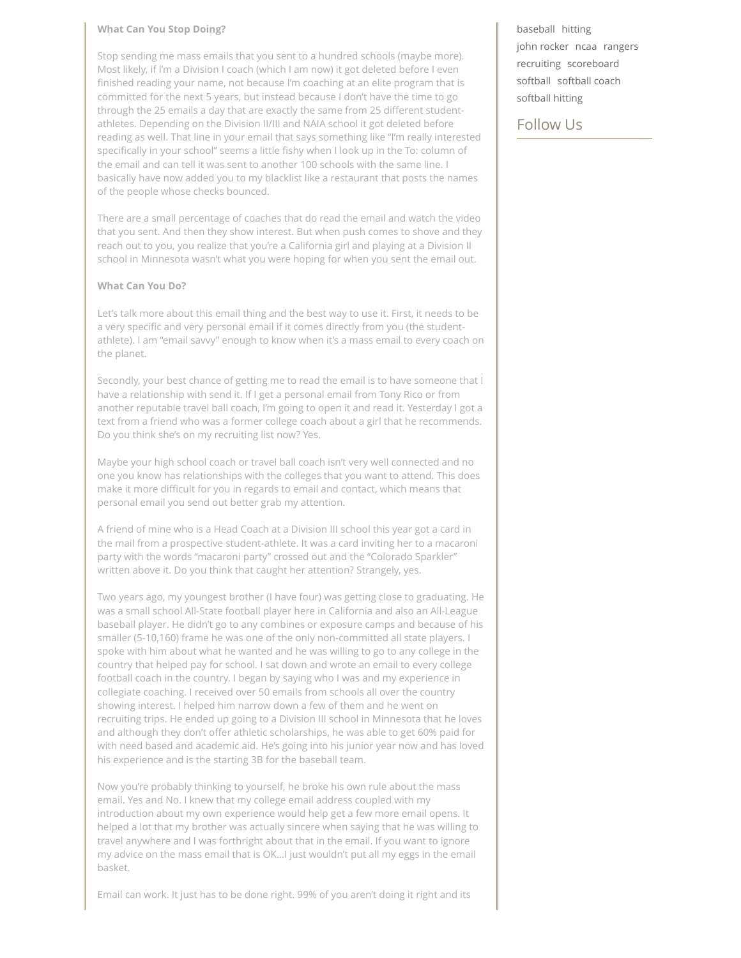#### **What Can You Stop Doing?**

Stop sending me mass emails that you sent to a hundred schools (maybe more). Most likely, if I'm a Division I coach (which I am now) it got deleted before I even finished reading your name, not because I'm coaching at an elite program that is committed for the next 5 years, but instead because I don't have the time to go through the 25 emails a day that are exactly the same from 25 different studentathletes. Depending on the Division II/III and NAIA school it got deleted before reading as well. That line in your email that says something like "I'm really interested specifically in your school" seems a little fishy when I look up in the To: column of the email and can tell it was sent to another 100 schools with the same line. I basically have now added you to my blacklist like a restaurant that posts the names of the people whose checks bounced.

There are a small percentage of coaches that do read the email and watch the video that you sent. And then they show interest. But when push comes to shove and they reach out to you, you realize that you're a California girl and playing at a Division II school in Minnesota wasn't what you were hoping for when you sent the email out.

### **What Can You Do?**

Let's talk more about this email thing and the best way to use it. First, it needs to be a very specific and very personal email if it comes directly from you (the studentathlete). I am "email savvy" enough to know when it's a mass email to every coach on the planet.

Secondly, your best chance of getting me to read the email is to have someone that I have a relationship with send it. If I get a personal email from Tony Rico or from another reputable travel ball coach, I'm going to open it and read it. Yesterday I got a text from a friend who was a former college coach about a girl that he recommends. Do you think she's on my recruiting list now? Yes.

Maybe your high school coach or travel ball coach isn't very well connected and no one you know has relationships with the colleges that you want to attend. This does make it more difficult for you in regards to email and contact, which means that personal email you send out better grab my attention.

A friend of mine who is a Head Coach at a Division III school this year got a card in the mail from a prospective student-athlete. It was a card inviting her to a macaroni party with the words "macaroni party" crossed out and the "Colorado Sparkler" written above it. Do you think that caught her attention? Strangely, yes.

Two years ago, my youngest brother (I have four) was getting close to graduating. He was a small school All-State football player here in California and also an All-League baseball player. He didn't go to any combines or exposure camps and because of his smaller (5-10,160) frame he was one of the only non-committed all state players. I spoke with him about what he wanted and he was willing to go to any college in the country that helped pay for school. I sat down and wrote an email to every college football coach in the country. I began by saying who I was and my experience in collegiate coaching. I received over 50 emails from schools all over the country showing interest. I helped him narrow down a few of them and he went on recruiting trips. He ended up going to a Division III school in Minnesota that he loves and although they don't offer athletic scholarships, he was able to get 60% paid for with need based and academic aid. He's going into his junior year now and has loved his experience and is the starting 3B for the baseball team.

Now you're probably thinking to yourself, he broke his own rule about the mass email. Yes and No. I knew that my college email address coupled with my introduction about my own experience would help get a few more email opens. It helped a lot that my brother was actually sincere when saying that he was willing to travel anywhere and I was forthright about that in the email. If you want to ignore my advice on the mass email that is OK…I just wouldn't put all my eggs in the email basket.

Email can work. It just has to be done right. 99% of you aren't doing it right and its

[baseball](http://www.coachlisle.com/#!blog/c12wc/Tag/baseball/) [hitting](http://www.coachlisle.com/#!blog/c12wc/Tag/hitting/) [john rocker](http://www.coachlisle.com/#!blog/c12wc/Tag/john%20rocker/) [ncaa](http://www.coachlisle.com/#!blog/c12wc/Tag/ncaa/) [rangers](http://www.coachlisle.com/#!blog/c12wc/Tag/rangers/) [recruiting](http://www.coachlisle.com/#!blog/c12wc/Tag/recruiting/) [scoreboard](http://www.coachlisle.com/#!blog/c12wc/Tag/scoreboard/) [softball](http://www.coachlisle.com/#!blog/c12wc/Tag/softball/) [softball coach](http://www.coachlisle.com/#!blog/c12wc/Tag/softball%20coach/) [softball hitting](http://www.coachlisle.com/#!blog/c12wc/Tag/softball%20hitting/)

## Follow Us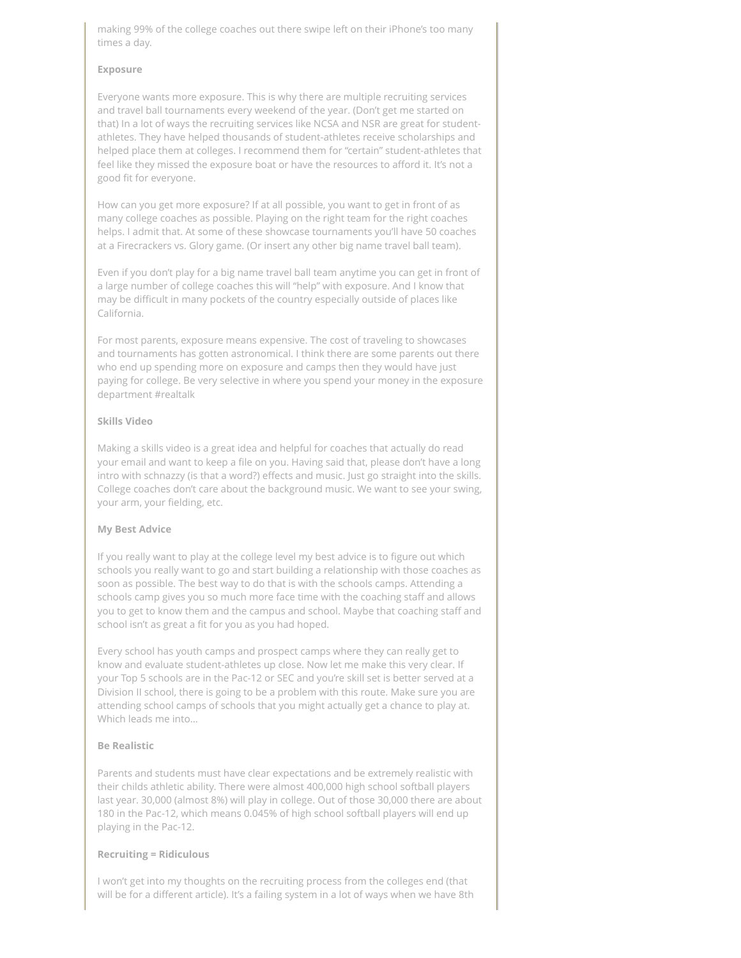making 99% of the college coaches out there swipe left on their iPhone's too many times a day.

#### **Exposure**

Everyone wants more exposure. This is why there are multiple recruiting services and travel ball tournaments every weekend of the year. (Don't get me started on that) In a lot of ways the recruiting services like NCSA and NSR are great for studentathletes. They have helped thousands of student-athletes receive scholarships and helped place them at colleges. I recommend them for "certain" student-athletes that feel like they missed the exposure boat or have the resources to afford it. It's not a good fit for everyone.

How can you get more exposure? If at all possible, you want to get in front of as many college coaches as possible. Playing on the right team for the right coaches helps. I admit that. At some of these showcase tournaments you'll have 50 coaches at a Firecrackers vs. Glory game. (Or insert any other big name travel ball team).

Even if you don't play for a big name travel ball team anytime you can get in front of a large number of college coaches this will "help" with exposure. And I know that may be difficult in many pockets of the country especially outside of places like California.

For most parents, exposure means expensive. The cost of traveling to showcases and tournaments has gotten astronomical. I think there are some parents out there who end up spending more on exposure and camps then they would have just paying for college. Be very selective in where you spend your money in the exposure department #realtalk

#### **Skills Video**

Making a skills video is a great idea and helpful for coaches that actually do read your email and want to keep a file on you. Having said that, please don't have a long intro with schnazzy (is that a word?) effects and music. Just go straight into the skills. College coaches don't care about the background music. We want to see your swing, your arm, your fielding, etc.

#### **My Best Advice**

If you really want to play at the college level my best advice is to figure out which schools you really want to go and start building a relationship with those coaches as soon as possible. The best way to do that is with the schools camps. Attending a schools camp gives you so much more face time with the coaching staff and allows you to get to know them and the campus and school. Maybe that coaching staff and school isn't as great a fit for you as you had hoped.

Every school has youth camps and prospect camps where they can really get to know and evaluate student-athletes up close. Now let me make this very clear. If your Top 5 schools are in the Pac-12 or SEC and you're skill set is better served at a Division II school, there is going to be a problem with this route. Make sure you are attending school camps of schools that you might actually get a chance to play at. Which leads me into…

### **Be Realistic**

Parents and students must have clear expectations and be extremely realistic with their childs athletic ability. There were almost 400,000 high school softball players last year. 30,000 (almost 8%) will play in college. Out of those 30,000 there are about 180 in the Pac-12, which means 0.045% of high school softball players will end up playing in the Pac-12.

#### **Recruiting = Ridiculous**

I won't get into my thoughts on the recruiting process from the colleges end (that will be for a different article). It's a failing system in a lot of ways when we have 8th